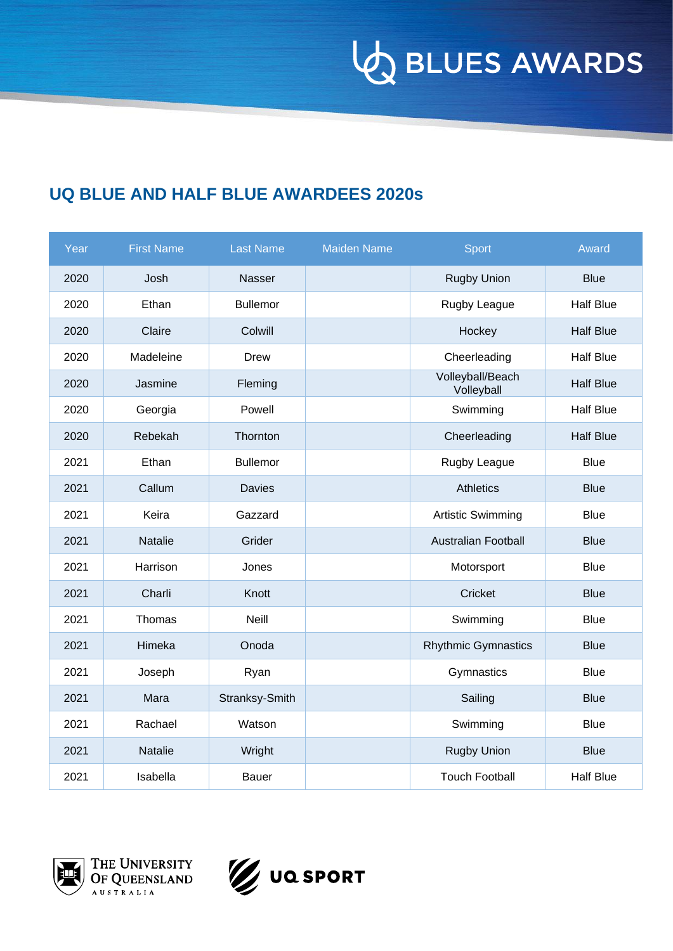**VO BLUES AWARDS** 

## **UQ BLUE AND HALF BLUE AWARDEES 2020s**

| Year | <b>First Name</b> | <b>Last Name</b> | <b>Maiden Name</b> | <b>Sport</b>                   | Award            |
|------|-------------------|------------------|--------------------|--------------------------------|------------------|
| 2020 | Josh              | Nasser           |                    | <b>Rugby Union</b>             | <b>Blue</b>      |
| 2020 | Ethan             | <b>Bullemor</b>  |                    | Rugby League                   | <b>Half Blue</b> |
| 2020 | Claire            | Colwill          |                    | Hockey                         | <b>Half Blue</b> |
| 2020 | Madeleine         | <b>Drew</b>      |                    | Cheerleading                   | <b>Half Blue</b> |
| 2020 | Jasmine           | Fleming          |                    | Volleyball/Beach<br>Volleyball | <b>Half Blue</b> |
| 2020 | Georgia           | Powell           |                    | Swimming                       | <b>Half Blue</b> |
| 2020 | Rebekah           | Thornton         |                    | Cheerleading                   | <b>Half Blue</b> |
| 2021 | Ethan             | <b>Bullemor</b>  |                    | Rugby League                   | <b>Blue</b>      |
| 2021 | Callum            | <b>Davies</b>    |                    | <b>Athletics</b>               | <b>Blue</b>      |
| 2021 | Keira             | Gazzard          |                    | <b>Artistic Swimming</b>       | <b>Blue</b>      |
| 2021 | Natalie           | Grider           |                    | <b>Australian Football</b>     | <b>Blue</b>      |
| 2021 | Harrison          | Jones            |                    | Motorsport                     | <b>Blue</b>      |
| 2021 | Charli            | Knott            |                    | Cricket                        | <b>Blue</b>      |
| 2021 | Thomas            | <b>Neill</b>     |                    | Swimming                       | <b>Blue</b>      |
| 2021 | Himeka            | Onoda            |                    | <b>Rhythmic Gymnastics</b>     | <b>Blue</b>      |
| 2021 | Joseph            | Ryan             |                    | Gymnastics                     | <b>Blue</b>      |
| 2021 | Mara              | Stranksy-Smith   |                    | Sailing                        | <b>Blue</b>      |
| 2021 | Rachael           | Watson           |                    | Swimming                       | <b>Blue</b>      |
| 2021 | Natalie           | Wright           |                    | <b>Rugby Union</b>             | <b>Blue</b>      |
| 2021 | Isabella          | Bauer            |                    | <b>Touch Football</b>          | <b>Half Blue</b> |